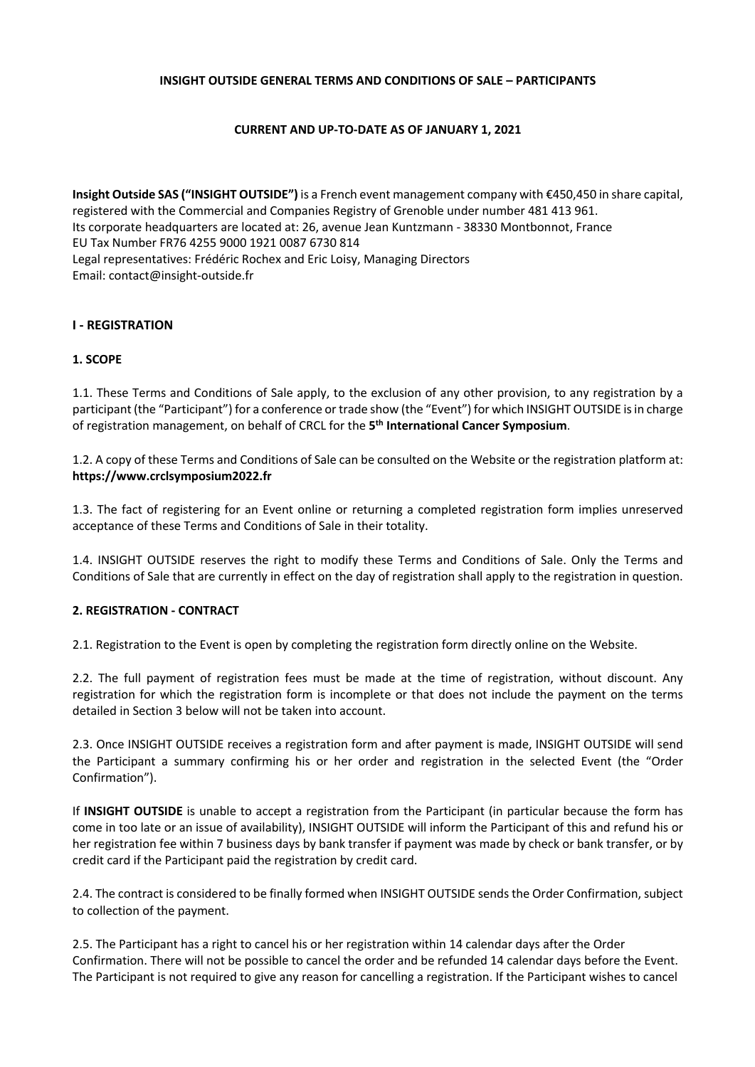## **INSIGHT OUTSIDE GENERAL TERMS AND CONDITIONS OF SALE – PARTICIPANTS**

## **CURRENT AND UP-TO-DATE AS OF JANUARY 1, 2021**

**Insight Outside SAS ("INSIGHT OUTSIDE")** is a French event management company with €450,450 in share capital, registered with the Commercial and Companies Registry of Grenoble under number 481 413 961. Its corporate headquarters are located at: 26, avenue Jean Kuntzmann - 38330 Montbonnot, France EU Tax Number FR76 4255 9000 1921 0087 6730 814 Legal representatives: Frédéric Rochex and Eric Loisy, Managing Directors Email: contact@insight-outside.fr

## **I - REGISTRATION**

## **1. SCOPE**

1.1. These Terms and Conditions of Sale apply, to the exclusion of any other provision, to any registration by a participant (the "Participant") for a conference or trade show (the "Event") for which INSIGHT OUTSIDE is in charge of registration management, on behalf of CRCL for the **5th International Cancer Symposium**.

1.2. A copy of these Terms and Conditions of Sale can be consulted on the Website or the registration platform at: **https://www.crclsymposium2022.fr**

1.3. The fact of registering for an Event online or returning a completed registration form implies unreserved acceptance of these Terms and Conditions of Sale in their totality.

1.4. INSIGHT OUTSIDE reserves the right to modify these Terms and Conditions of Sale. Only the Terms and Conditions of Sale that are currently in effect on the day of registration shall apply to the registration in question.

#### **2. REGISTRATION - CONTRACT**

2.1. Registration to the Event is open by completing the registration form directly online on the Website.

2.2. The full payment of registration fees must be made at the time of registration, without discount. Any registration for which the registration form is incomplete or that does not include the payment on the terms detailed in Section 3 below will not be taken into account.

2.3. Once INSIGHT OUTSIDE receives a registration form and after payment is made, INSIGHT OUTSIDE will send the Participant a summary confirming his or her order and registration in the selected Event (the "Order Confirmation").

If **INSIGHT OUTSIDE** is unable to accept a registration from the Participant (in particular because the form has come in too late or an issue of availability), INSIGHT OUTSIDE will inform the Participant of this and refund his or her registration fee within 7 business days by bank transfer if payment was made by check or bank transfer, or by credit card if the Participant paid the registration by credit card.

2.4. The contract is considered to be finally formed when INSIGHT OUTSIDE sends the Order Confirmation, subject to collection of the payment.

2.5. The Participant has a right to cancel his or her registration within 14 calendar days after the Order Confirmation. There will not be possible to cancel the order and be refunded 14 calendar days before the Event. The Participant is not required to give any reason for cancelling a registration. If the Participant wishes to cancel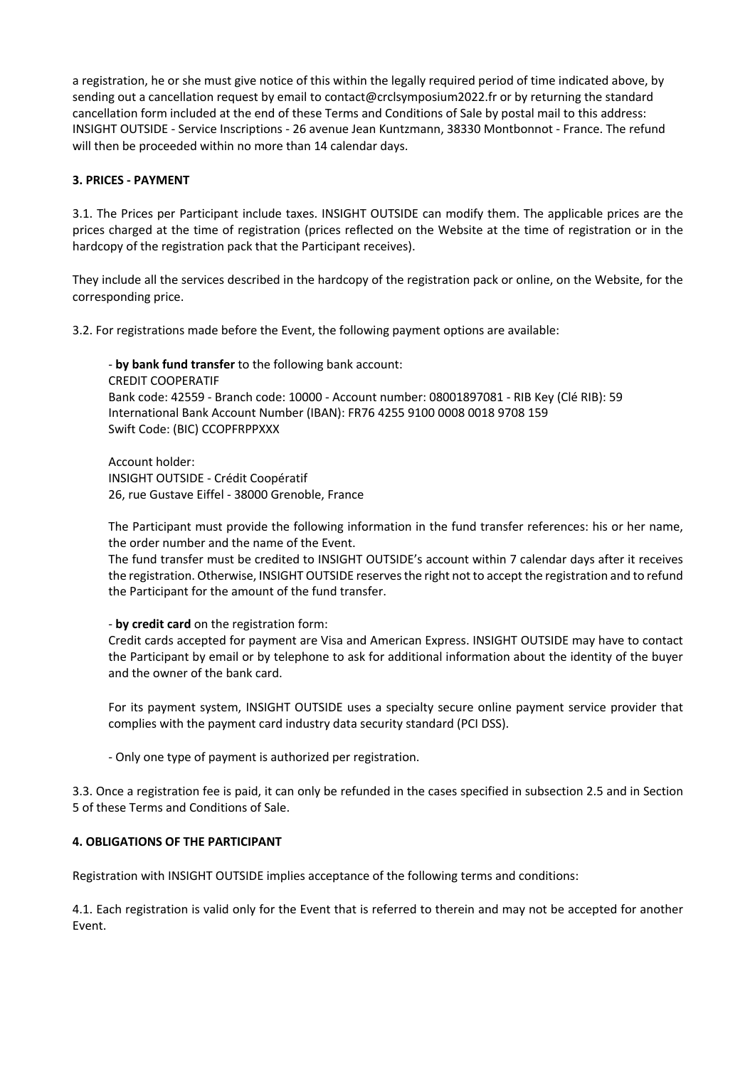a registration, he or she must give notice of this within the legally required period of time indicated above, by sending out a cancellation request by email to contact@crclsymposium2022.fr or by returning the standard cancellation form included at the end of these Terms and Conditions of Sale by postal mail to this address: INSIGHT OUTSIDE - Service Inscriptions - 26 avenue Jean Kuntzmann, 38330 Montbonnot - France. The refund will then be proceeded within no more than 14 calendar days.

# **3. PRICES - PAYMENT**

3.1. The Prices per Participant include taxes. INSIGHT OUTSIDE can modify them. The applicable prices are the prices charged at the time of registration (prices reflected on the Website at the time of registration or in the hardcopy of the registration pack that the Participant receives).

They include all the services described in the hardcopy of the registration pack or online, on the Website, for the corresponding price.

3.2. For registrations made before the Event, the following payment options are available:

- **by bank fund transfer** to the following bank account: CREDIT COOPERATIF Bank code: 42559 - Branch code: 10000 - Account number: 08001897081 - RIB Key (Clé RIB): 59 International Bank Account Number (IBAN): FR76 4255 9100 0008 0018 9708 159 Swift Code: (BIC) CCOPFRPPXXX

Account holder: INSIGHT OUTSIDE - Crédit Coopératif 26, rue Gustave Eiffel - 38000 Grenoble, France

The Participant must provide the following information in the fund transfer references: his or her name, the order number and the name of the Event.

The fund transfer must be credited to INSIGHT OUTSIDE's account within 7 calendar days after it receives the registration. Otherwise, INSIGHT OUTSIDE reserves the right not to accept the registration and to refund the Participant for the amount of the fund transfer.

- **by credit card** on the registration form:

Credit cards accepted for payment are Visa and American Express. INSIGHT OUTSIDE may have to contact the Participant by email or by telephone to ask for additional information about the identity of the buyer and the owner of the bank card.

For its payment system, INSIGHT OUTSIDE uses a specialty secure online payment service provider that complies with the payment card industry data security standard (PCI DSS).

- Only one type of payment is authorized per registration.

3.3. Once a registration fee is paid, it can only be refunded in the cases specified in subsection 2.5 and in Section 5 of these Terms and Conditions of Sale.

# **4. OBLIGATIONS OF THE PARTICIPANT**

Registration with INSIGHT OUTSIDE implies acceptance of the following terms and conditions:

4.1. Each registration is valid only for the Event that is referred to therein and may not be accepted for another Event.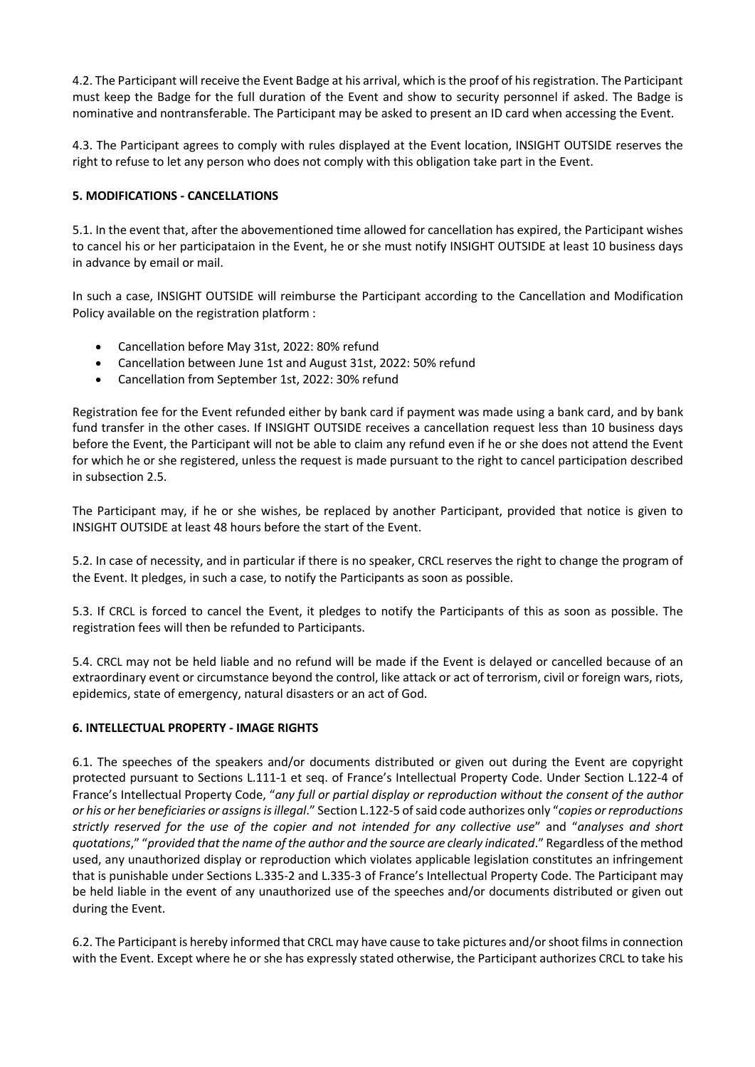4.2. The Participant will receive the Event Badge at his arrival, which is the proof of his registration. The Participant must keep the Badge for the full duration of the Event and show to security personnel if asked. The Badge is nominative and nontransferable. The Participant may be asked to present an ID card when accessing the Event.

4.3. The Participant agrees to comply with rules displayed at the Event location, INSIGHT OUTSIDE reserves the right to refuse to let any person who does not comply with this obligation take part in the Event.

# **5. MODIFICATIONS - CANCELLATIONS**

5.1. In the event that, after the abovementioned time allowed for cancellation has expired, the Participant wishes to cancel his or her participataion in the Event, he or she must notify INSIGHT OUTSIDE at least 10 business days in advance by email or mail.

In such a case, INSIGHT OUTSIDE will reimburse the Participant according to the Cancellation and Modification Policy available on the registration platform :

- Cancellation before May 31st, 2022: 80% refund
- Cancellation between June 1st and August 31st, 2022: 50% refund
- Cancellation from September 1st, 2022: 30% refund

Registration fee for the Event refunded either by bank card if payment was made using a bank card, and by bank fund transfer in the other cases. If INSIGHT OUTSIDE receives a cancellation request less than 10 business days before the Event, the Participant will not be able to claim any refund even if he or she does not attend the Event for which he or she registered, unless the request is made pursuant to the right to cancel participation described in subsection 2.5.

The Participant may, if he or she wishes, be replaced by another Participant, provided that notice is given to INSIGHT OUTSIDE at least 48 hours before the start of the Event.

5.2. In case of necessity, and in particular if there is no speaker, CRCL reserves the right to change the program of the Event. It pledges, in such a case, to notify the Participants as soon as possible.

5.3. If CRCL is forced to cancel the Event, it pledges to notify the Participants of this as soon as possible. The registration fees will then be refunded to Participants.

5.4. CRCL may not be held liable and no refund will be made if the Event is delayed or cancelled because of an extraordinary event or circumstance beyond the control, like attack or act of terrorism, civil or foreign wars, riots, epidemics, state of emergency, natural disasters or an act of God.

## **6. INTELLECTUAL PROPERTY - IMAGE RIGHTS**

6.1. The speeches of the speakers and/or documents distributed or given out during the Event are copyright protected pursuant to Sections L.111-1 et seq. of France's Intellectual Property Code. Under Section L.122-4 of France's Intellectual Property Code, "*any full or partial display or reproduction without the consent of the author or his or her beneficiaries or assigns is illegal*." Section L.122-5 of said code authorizes only "*copies or reproductions strictly reserved for the use of the copier and not intended for any collective use*" and "*analyses and short quotations*," "*provided that the name of the author and the source are clearly indicated*." Regardless of the method used, any unauthorized display or reproduction which violates applicable legislation constitutes an infringement that is punishable under Sections L.335-2 and L.335-3 of France's Intellectual Property Code. The Participant may be held liable in the event of any unauthorized use of the speeches and/or documents distributed or given out during the Event.

6.2. The Participant is hereby informed that CRCL may have cause to take pictures and/or shoot films in connection with the Event. Except where he or she has expressly stated otherwise, the Participant authorizes CRCL to take his